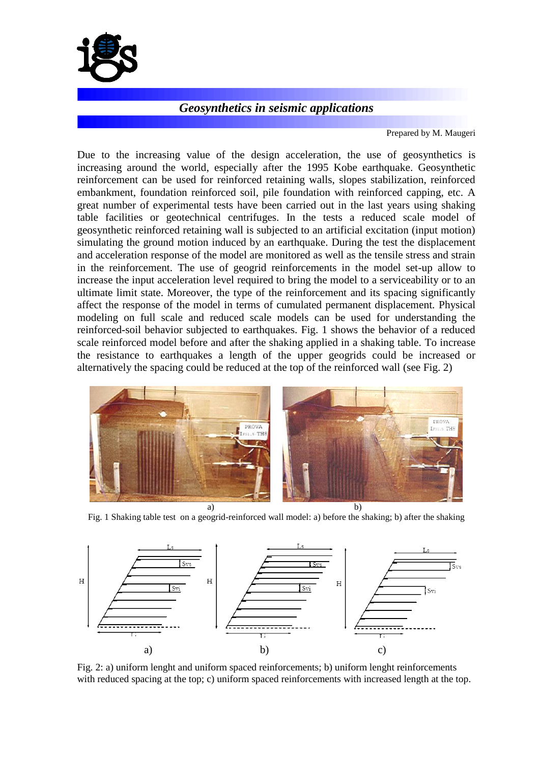

## *Geosynthetics in seismic applications*

Prepared by M. Maugeri

Due to the increasing value of the design acceleration, the use of geosynthetics is increasing around the world, especially after the 1995 Kobe earthquake. Geosynthetic reinforcement can be used for reinforced retaining walls, slopes stabilization, reinforced embankment, foundation reinforced soil, pile foundation with reinforced capping, etc. A great number of experimental tests have been carried out in the last years using shaking table facilities or geotechnical centrifuges. In the tests a reduced scale model of geosynthetic reinforced retaining wall is subjected to an artificial excitation (input motion) simulating the ground motion induced by an earthquake. During the test the displacement and acceleration response of the model are monitored as well as the tensile stress and strain in the reinforcement. The use of geogrid reinforcements in the model set-up allow to increase the input acceleration level required to bring the model to a serviceability or to an ultimate limit state. Moreover, the type of the reinforcement and its spacing significantly affect the response of the model in terms of cumulated permanent displacement. Physical modeling on full scale and reduced scale models can be used for understanding the reinforced-soil behavior subjected to earthquakes. Fig. 1 shows the behavior of a reduced scale reinforced model before and after the shaking applied in a shaking table. To increase the resistance to earthquakes a length of the upper geogrids could be increased or alternatively the spacing could be reduced at the top of the reinforced wall (see Fig. 2)



Fig. 1 Shaking table test on a geogrid-reinforced wall model: a) before the shaking; b) after the shaking



Fig. 2: a) uniform lenght and uniform spaced reinforcements; b) uniform lenght reinforcements with reduced spacing at the top; c) uniform spaced reinforcements with increased length at the top.